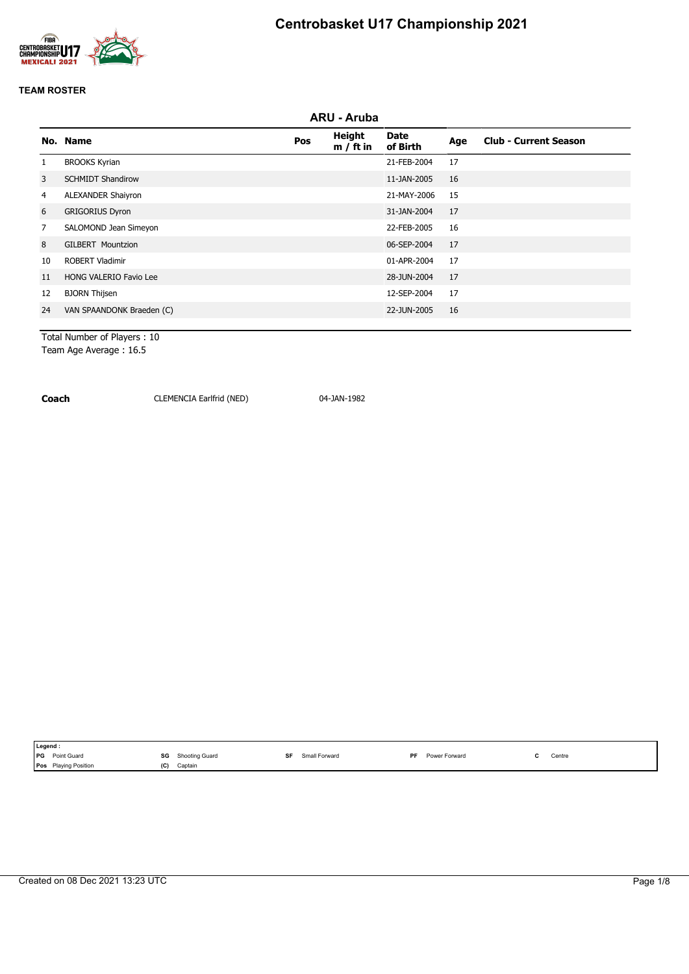



|                | ARU - Aruba                   |     |                       |                         |     |                              |  |  |  |  |
|----------------|-------------------------------|-----|-----------------------|-------------------------|-----|------------------------------|--|--|--|--|
|                | No. Name                      | Pos | Height<br>$m / ft$ in | <b>Date</b><br>of Birth | Age | <b>Club - Current Season</b> |  |  |  |  |
|                | <b>BROOKS Kyrian</b>          |     |                       | 21-FEB-2004             | 17  |                              |  |  |  |  |
| 3              | <b>SCHMIDT Shandirow</b>      |     |                       | 11-JAN-2005             | 16  |                              |  |  |  |  |
| 4              | <b>ALEXANDER Shaiyron</b>     |     |                       | 21-MAY-2006             | 15  |                              |  |  |  |  |
| 6              | <b>GRIGORIUS Dyron</b>        |     |                       | 31-JAN-2004             | 17  |                              |  |  |  |  |
| $\overline{7}$ | SALOMOND Jean Simeyon         |     |                       | 22-FEB-2005             | 16  |                              |  |  |  |  |
| 8              | <b>GILBERT Mountzion</b>      |     |                       | 06-SEP-2004             | 17  |                              |  |  |  |  |
| 10             | <b>ROBERT Vladimir</b>        |     |                       | 01-APR-2004             | 17  |                              |  |  |  |  |
| 11             | <b>HONG VALERIO Favio Lee</b> |     |                       | 28-JUN-2004             | 17  |                              |  |  |  |  |
| 12             | <b>BJORN Thijsen</b>          |     |                       | 12-SEP-2004             | 17  |                              |  |  |  |  |
| 24             | VAN SPAANDONK Braeden (C)     |     |                       | 22-JUN-2005             | 16  |                              |  |  |  |  |
|                |                               |     |                       |                         |     |                              |  |  |  |  |

Total Number of Players : 10 Team Age Average : 16.5

**Coach** CLEMENCIA Earlfrid (NED) 04-JAN-1982

| I Legend.                                                                    |                      |                        |                                   |                                               |
|------------------------------------------------------------------------------|----------------------|------------------------|-----------------------------------|-----------------------------------------------|
| Point Guard<br><b>IPG</b><br>the contract of the contract of the contract of | SG<br>Shooting Guard | SF<br>Forward<br>Small | PF<br>· Forward<br>Power<br>-uwer | Centre<br>the contract of the contract of the |
| <b>Playing Position</b><br><b>Pos</b>                                        | (C)<br>Captain       |                        |                                   |                                               |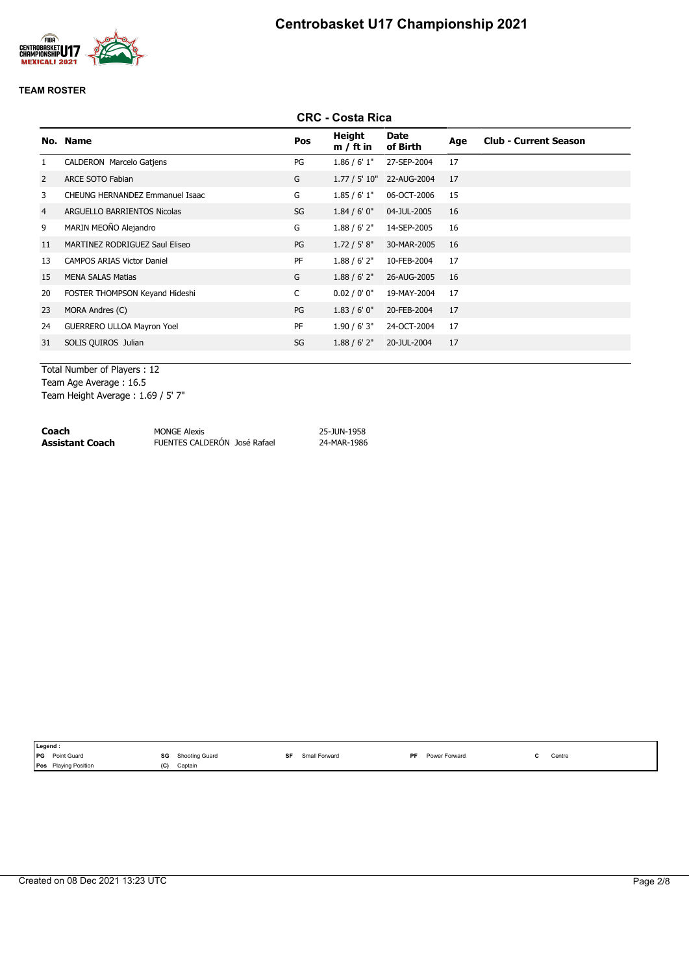

|                |                                   |     | <b>CRC - Costa Rica</b> |                  |     |                              |
|----------------|-----------------------------------|-----|-------------------------|------------------|-----|------------------------------|
|                | No. Name                          | Pos | Height<br>$m / ft$ in   | Date<br>of Birth | Age | <b>Club - Current Season</b> |
|                | CALDERON Marcelo Gatjens          | PG  | 1.86 / 6' 1''           | 27-SEP-2004      | 17  |                              |
| 2              | <b>ARCE SOTO Fabian</b>           | G   | 1.77 / 5' 10"           | 22-AUG-2004      | 17  |                              |
| 3              | CHEUNG HERNANDEZ Emmanuel Isaac   | G   | 1.85/6'1"               | 06-OCT-2006      | 15  |                              |
| $\overline{4}$ | ARGUELLO BARRIENTOS Nicolas       | SG  | 1.84/6'0''              | 04-JUL-2005      | 16  |                              |
| 9              | MARIN MEOÑO Alejandro             | G   | 1.88 / 6' 2''           | 14-SEP-2005      | 16  |                              |
| 11             | MARTINEZ RODRIGUEZ Saul Eliseo    | PG  | 1.72 / 5' 8''           | 30-MAR-2005      | 16  |                              |
| 13             | <b>CAMPOS ARIAS Victor Daniel</b> | PF  | 1.88 / 6' 2''           | 10-FEB-2004      | 17  |                              |
| 15             | <b>MENA SALAS Matias</b>          | G   | 1.88 / 6' 2''           | 26-AUG-2005      | 16  |                              |
| 20             | FOSTER THOMPSON Keyand Hideshi    | C   | 0.02 / 0' 0''           | 19-MAY-2004      | 17  |                              |
| 23             | MORA Andres (C)                   | PG  | 1.83/6'0''              | 20-FEB-2004      | 17  |                              |
| 24             | <b>GUERRERO ULLOA Mayron Yoel</b> | PF  | 1.90 / 6' 3''           | 24-OCT-2004      | 17  |                              |
| 31             | SOLIS QUIROS Julian               | SG  | 1.88 / 6' 2''           | 20-JUL-2004      | 17  |                              |
|                |                                   |     |                         |                  |     |                              |

Total Number of Players : 12 Team Age Average : 16.5 Team Height Average : 1.69 / 5' 7"

| Coach           | <b>MONGE Alexis</b>          | 25-JUN-1958 |
|-----------------|------------------------------|-------------|
| Assistant Coach | FUENTES CALDERÓN José Rafael | 24-MAR-1986 |

| Point Guard<br><b>PG</b><br>SF<br><b>DE</b><br>SG<br>Small Forward<br>Shooting Guard<br>Power Forward<br>Centre<br>the contract of the contract of the<br>the contract of the contract of<br>Pos<br>(C)<br>Captain | Legend: |                         |  |  |  |  |
|--------------------------------------------------------------------------------------------------------------------------------------------------------------------------------------------------------------------|---------|-------------------------|--|--|--|--|
|                                                                                                                                                                                                                    |         |                         |  |  |  |  |
|                                                                                                                                                                                                                    |         | <b>Playing Position</b> |  |  |  |  |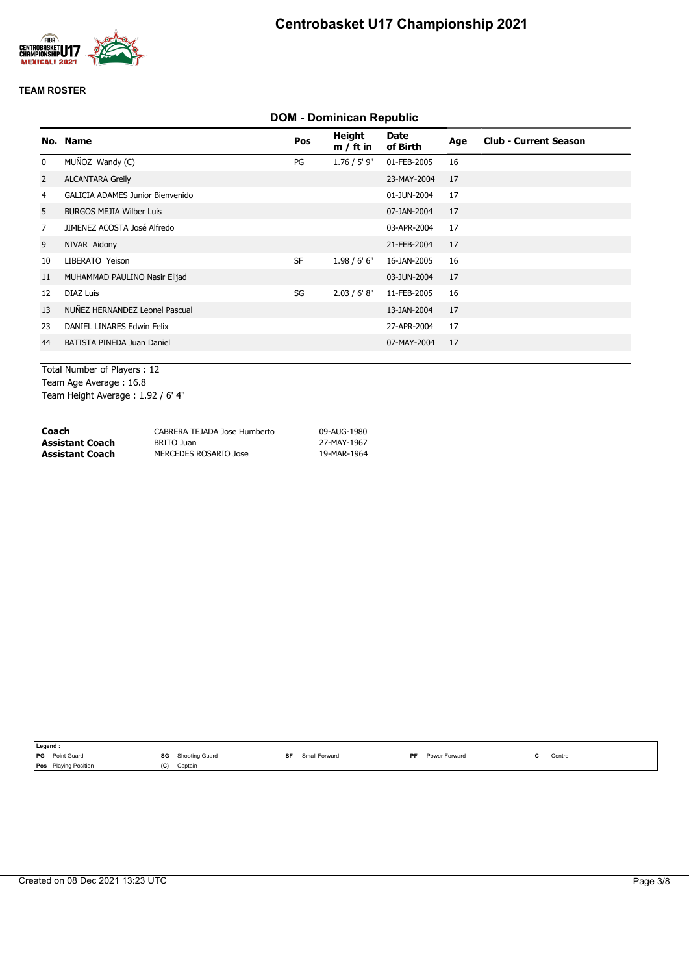

# **DOM - Dominican Republic**

|                | No. Name                                | Pos       | Height<br>$m / ft$ in | Date<br>of Birth | Age | <b>Club - Current Season</b> |
|----------------|-----------------------------------------|-----------|-----------------------|------------------|-----|------------------------------|
| $\mathbf 0$    | MUÑOZ Wandy (C)                         | PG        | $1.76 / 5'$ 9"        | 01-FEB-2005      | 16  |                              |
| $\overline{2}$ | <b>ALCANTARA Greily</b>                 |           |                       | 23-MAY-2004      | 17  |                              |
| 4              | <b>GALICIA ADAMES Junior Bienvenido</b> |           |                       | 01-JUN-2004      | 17  |                              |
| 5              | <b>BURGOS MEJIA Wilber Luis</b>         |           |                       | 07-JAN-2004      | 17  |                              |
| $\overline{7}$ | JIMENEZ ACOSTA José Alfredo             |           |                       | 03-APR-2004      | 17  |                              |
| 9              | NIVAR Aidony                            |           |                       | 21-FEB-2004      | 17  |                              |
| 10             | LIBERATO Yeison                         | <b>SF</b> | 1.98/6'6''            | 16-JAN-2005      | 16  |                              |
| 11             | MUHAMMAD PAULINO Nasir Elijad           |           |                       | 03-JUN-2004      | 17  |                              |
| 12             | <b>DIAZ Luis</b>                        | SG        | 2.03 / 6' 8''         | 11-FEB-2005      | 16  |                              |
| 13             | NUÑEZ HERNANDEZ Leonel Pascual          |           |                       | 13-JAN-2004      | 17  |                              |
| 23             | DANIEL LINARES Edwin Felix              |           |                       | 27-APR-2004      | 17  |                              |
| 44             | BATISTA PINEDA Juan Daniel              |           |                       | 07-MAY-2004      | 17  |                              |
|                |                                         |           |                       |                  |     |                              |

Total Number of Players : 12 Team Age Average : 16.8 Team Height Average : 1.92 / 6' 4"

| Coach           | CABRERA TEJADA Jose Humberto | 09-AUG-1980 |
|-----------------|------------------------------|-------------|
| Assistant Coach | BRITO Juan                   | 27-MAY-1967 |
| Assistant Coach | MERCEDES ROSARIO Jose        | 19-MAR-1964 |

|            | Legend :                    |     |                |    |               |    |               |        |
|------------|-----------------------------|-----|----------------|----|---------------|----|---------------|--------|
| <b>IPG</b> | <b>Point Guard</b>          | SG  | Shooting Guard | SF | Small Forward | PF | Power Forward | Centre |
|            | <b>Pos</b> Playing Position | (C) | Captain        |    |               |    |               |        |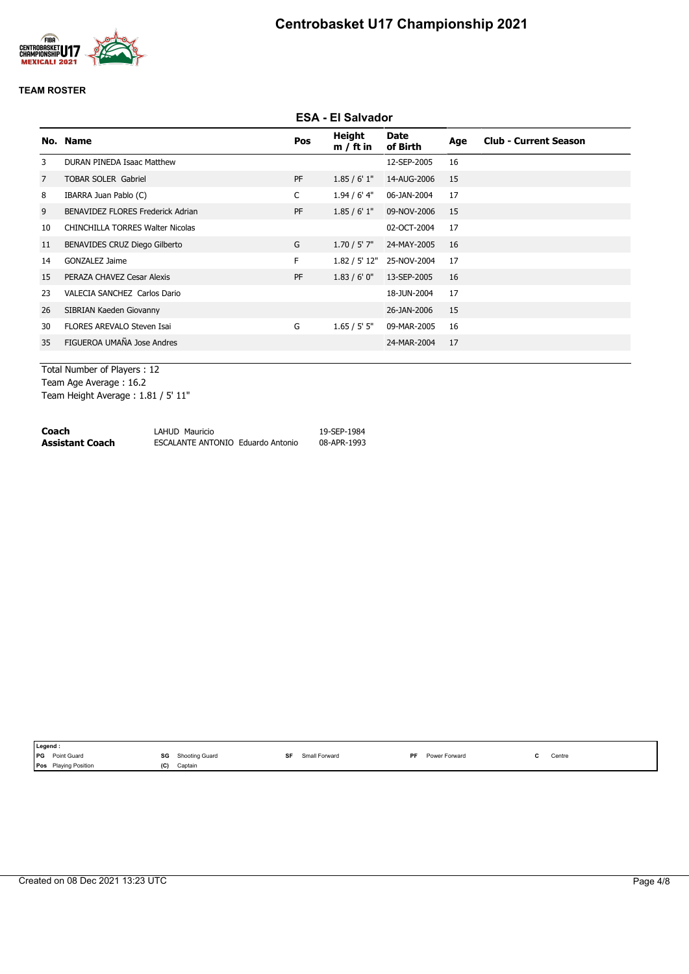

|                |                                          |           | <b>ESA - El Salvador</b> |                  |     |                              |
|----------------|------------------------------------------|-----------|--------------------------|------------------|-----|------------------------------|
|                | No. Name                                 | Pos       | Height<br>$m / ft$ in    | Date<br>of Birth | Age | <b>Club - Current Season</b> |
| 3              | <b>DURAN PINEDA Isaac Matthew</b>        |           |                          | 12-SEP-2005      | 16  |                              |
| $\overline{7}$ | <b>TOBAR SOLER Gabriel</b>               | <b>PF</b> | 1.85/6'1"                | 14-AUG-2006      | 15  |                              |
| 8              | IBARRA Juan Pablo (C)                    | C         | $1.94/6'$ 4"             | 06-JAN-2004      | 17  |                              |
| 9              | <b>BENAVIDEZ FLORES Frederick Adrian</b> | PF        | 1.85/6'1"                | 09-NOV-2006      | 15  |                              |
| 10             | <b>CHINCHILLA TORRES Walter Nicolas</b>  |           |                          | 02-OCT-2004      | 17  |                              |
| 11             | BENAVIDES CRUZ Diego Gilberto            | G         | $1.70 / 5'$ 7"           | 24-MAY-2005      | 16  |                              |
| 14             | GONZALEZ Jaime                           | F.        | 1.82 / 5' 12"            | 25-NOV-2004      | 17  |                              |
| 15             | PERAZA CHAVEZ Cesar Alexis               | <b>PF</b> | 1.83/6'0''               | 13-SEP-2005      | 16  |                              |
| 23             | VALECIA SANCHEZ Carlos Dario             |           |                          | 18-JUN-2004      | 17  |                              |
| 26             | SIBRIAN Kaeden Giovanny                  |           |                          | 26-JAN-2006      | 15  |                              |
| 30             | FLORES AREVALO Steven Isai               | G         | 1.65 / 5' 5''            | 09-MAR-2005      | 16  |                              |
| 35             | FIGUEROA UMAÑA Jose Andres               |           |                          | 24-MAR-2004      | 17  |                              |
|                |                                          |           |                          |                  |     |                              |

Total Number of Players : 12 Team Age Average : 16.2 Team Height Average : 1.81 / 5' 11"

| Coach           | LAHUD Mauricio                    | 19-SEP-1984 |
|-----------------|-----------------------------------|-------------|
| Assistant Coach | ESCALANTE ANTONIO Eduardo Antonio | 08-APR-1993 |

| Legend :   |                      |     |                |    |               |    |               |                                           |
|------------|----------------------|-----|----------------|----|---------------|----|---------------|-------------------------------------------|
| <b>IPG</b> | Point Guard          | SG  | Shooting Guard | SF | Small Forward | PF | Power Forward | Centre<br>the contract of the contract of |
|            | Pos Playing Position | (C) | Captain        |    |               |    |               |                                           |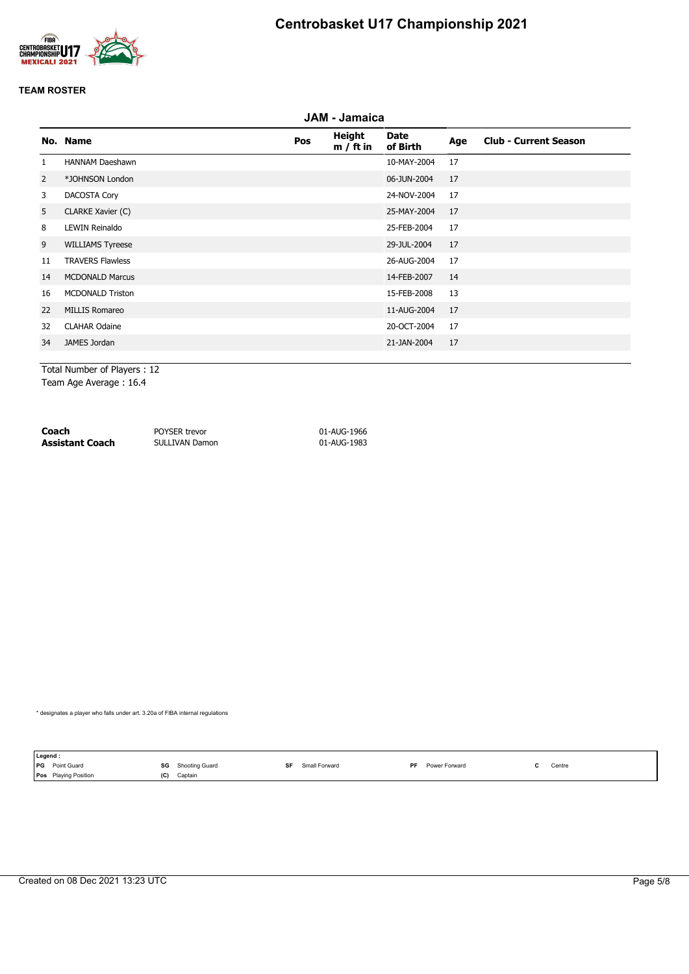



|                | JAM - Jamaica           |     |                       |                         |     |                              |  |  |  |  |
|----------------|-------------------------|-----|-----------------------|-------------------------|-----|------------------------------|--|--|--|--|
|                | No. Name                | Pos | Height<br>$m / ft$ in | <b>Date</b><br>of Birth | Age | <b>Club - Current Season</b> |  |  |  |  |
| $\mathbf{1}$   | <b>HANNAM Daeshawn</b>  |     |                       | 10-MAY-2004             | 17  |                              |  |  |  |  |
| $\overline{2}$ | *JOHNSON London         |     |                       | 06-JUN-2004             | 17  |                              |  |  |  |  |
| 3              | DACOSTA Cory            |     |                       | 24-NOV-2004             | 17  |                              |  |  |  |  |
| 5              | CLARKE Xavier (C)       |     |                       | 25-MAY-2004             | 17  |                              |  |  |  |  |
| 8              | <b>LEWIN Reinaldo</b>   |     |                       | 25-FEB-2004             | 17  |                              |  |  |  |  |
| 9              | <b>WILLIAMS Tyreese</b> |     |                       | 29-JUL-2004             | 17  |                              |  |  |  |  |
| 11             | <b>TRAVERS Flawless</b> |     |                       | 26-AUG-2004             | 17  |                              |  |  |  |  |
| 14             | <b>MCDONALD Marcus</b>  |     |                       | 14-FEB-2007             | 14  |                              |  |  |  |  |
| 16             | <b>MCDONALD Triston</b> |     |                       | 15-FEB-2008             | 13  |                              |  |  |  |  |
| 22             | MILLIS Romareo          |     |                       | 11-AUG-2004             | 17  |                              |  |  |  |  |
| 32             | <b>CLAHAR Odaine</b>    |     |                       | 20-OCT-2004             | 17  |                              |  |  |  |  |
| 34             | JAMES Jordan            |     |                       | 21-JAN-2004             | 17  |                              |  |  |  |  |
|                |                         |     |                       |                         |     |                              |  |  |  |  |

Total Number of Players : 12 Team Age Average : 16.4

**Coach** POYSER trevor 01-AUG-1966 **Assistant Coach** SULLIVAN Damon 01-AUG-1983

\* designates a player who falls under art. 3.20a of FIBA internal regulations

**Legend :<br>PG** Point Guard **SG** Shooting Guard **SF** Small Forward **PF** Power Forward **C** Centre **Pos** Playing Position **(C)** Captain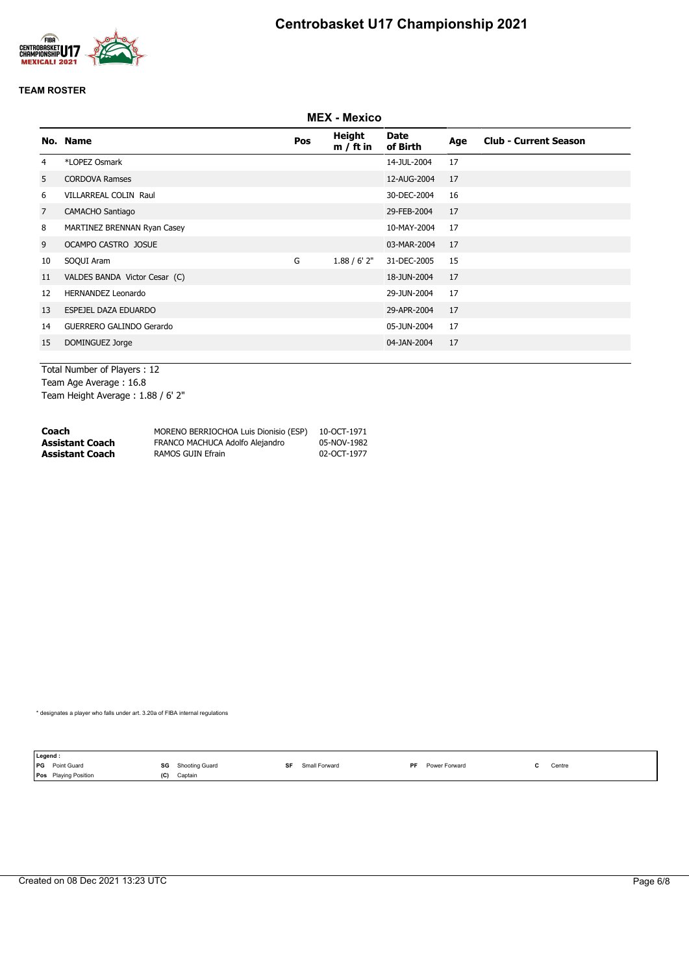



|                | <b>MEX - Mexico</b>           |     |                       |                         |     |                              |  |  |
|----------------|-------------------------------|-----|-----------------------|-------------------------|-----|------------------------------|--|--|
|                | No. Name                      | Pos | Height<br>$m / ft$ in | <b>Date</b><br>of Birth | Age | <b>Club - Current Season</b> |  |  |
| 4              | *LOPEZ Osmark                 |     |                       | 14-JUL-2004             | 17  |                              |  |  |
| 5              | <b>CORDOVA Ramses</b>         |     |                       | 12-AUG-2004             | 17  |                              |  |  |
| 6              | <b>VILLARREAL COLIN Raul</b>  |     |                       | 30-DEC-2004             | 16  |                              |  |  |
| $\overline{7}$ | CAMACHO Santiago              |     |                       | 29-FEB-2004             | 17  |                              |  |  |
| 8              | MARTINEZ BRENNAN Ryan Casey   |     |                       | 10-MAY-2004             | 17  |                              |  |  |
| 9              | OCAMPO CASTRO JOSUE           |     |                       | 03-MAR-2004             | 17  |                              |  |  |
| 10             | SOQUI Aram                    | G   | 1.88 / 6' 2''         | 31-DEC-2005             | 15  |                              |  |  |
| 11             | VALDES BANDA Victor Cesar (C) |     |                       | 18-JUN-2004             | 17  |                              |  |  |
| 12             | <b>HERNANDEZ Leonardo</b>     |     |                       | 29-JUN-2004             | 17  |                              |  |  |
| 13             | ESPEJEL DAZA EDUARDO          |     |                       | 29-APR-2004             | 17  |                              |  |  |
| 14             | GUERRERO GALINDO Gerardo      |     |                       | 05-JUN-2004             | 17  |                              |  |  |
| 15             | DOMINGUEZ Jorge               |     |                       | 04-JAN-2004             | 17  |                              |  |  |

Total Number of Players : 12 Team Age Average : 16.8 Team Height Average : 1.88 / 6' 2"

| Coach           | MORENO BERRIOCHOA Luis Dionisio (ESP) | 10-OCT-1971 |
|-----------------|---------------------------------------|-------------|
| Assistant Coach | FRANCO MACHUCA Adolfo Alejandro       | 05-NOV-1982 |
| Assistant Coach | RAMOS GUIN Efrain                     | 02-OCT-1977 |

\* designates a player who falls under art. 3.20a of FIBA internal regulations

|            | Legend:                     |     |                                |    |               |    |               |                                                           |
|------------|-----------------------------|-----|--------------------------------|----|---------------|----|---------------|-----------------------------------------------------------|
| <b>IPG</b> | Point Guard                 | SG  | <b>Shooting Guard</b><br>----- | SF | Small Forward | РF | Power Forward | Centre<br>the contract of the contract of the contract of |
|            | <b>Pos</b> Playing Position | (C) | Captain                        |    |               |    |               |                                                           |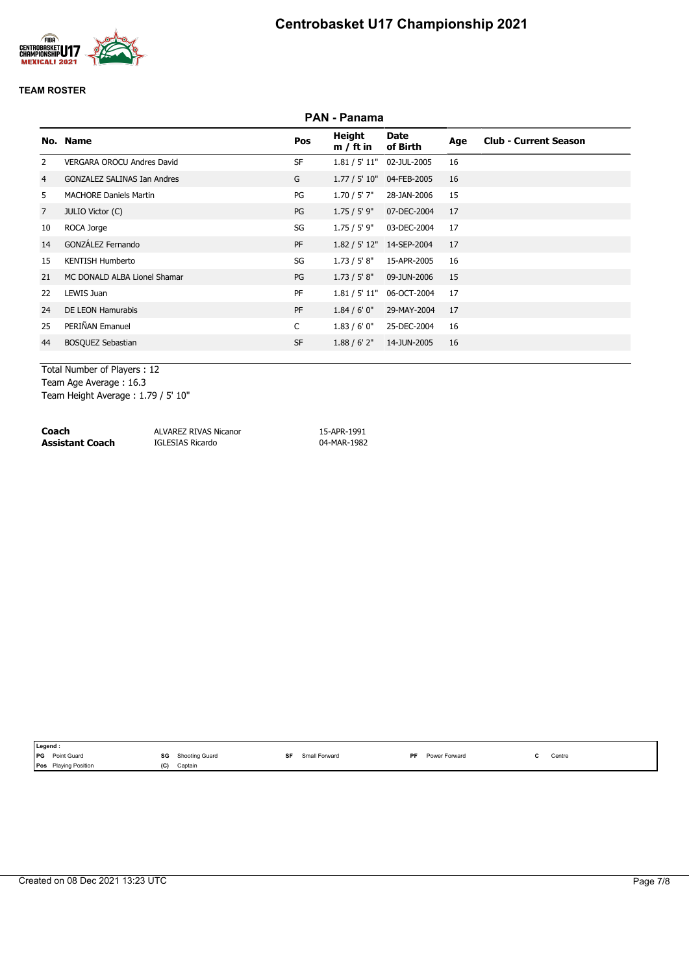

|                | <b>PAN - Panama</b>                |              |                       |                           |     |                              |  |  |  |
|----------------|------------------------------------|--------------|-----------------------|---------------------------|-----|------------------------------|--|--|--|
|                | No. Name                           | Pos          | Height<br>$m / ft$ in | Date<br>of Birth          | Age | <b>Club - Current Season</b> |  |  |  |
| 2              | <b>VERGARA OROCU Andres David</b>  | <b>SF</b>    |                       | 1.81 / 5' 11" 02-JUL-2005 | 16  |                              |  |  |  |
| 4              | <b>GONZALEZ SALINAS Ian Andres</b> | G            | 1.77 / 5' 10"         | 04-FEB-2005               | 16  |                              |  |  |  |
| 5.             | <b>MACHORE Daniels Martin</b>      | PG           | 1.70 / 5' 7"          | 28-JAN-2006               | 15  |                              |  |  |  |
| $\overline{7}$ | JULIO Victor (C)                   | PG           | 1.75 / 5' 9"          | 07-DEC-2004               | 17  |                              |  |  |  |
| 10             | ROCA Jorge                         | SG           | 1.75 / 5' 9"          | 03-DEC-2004               | 17  |                              |  |  |  |
| 14             | GONZÁLEZ Fernando                  | PF           |                       | 1.82 / 5' 12" 14-SEP-2004 | 17  |                              |  |  |  |
| 15             | <b>KENTISH Humberto</b>            | SG           | 1.73 / 5' 8''         | 15-APR-2005               | 16  |                              |  |  |  |
| 21             | MC DONALD ALBA Lionel Shamar       | PG           | 1.73 / 5' 8''         | 09-JUN-2006               | 15  |                              |  |  |  |
| 22             | LEWIS Juan                         | PF           | 1.81 / 5' 11"         | 06-OCT-2004               | 17  |                              |  |  |  |
| 24             | DE LEON Hamurabis                  | PF           | 1.84/6'0''            | 29-MAY-2004               | 17  |                              |  |  |  |
| 25             | PERIÑAN Emanuel                    | $\mathsf{C}$ | 1.83/6'0''            | 25-DEC-2004               | 16  |                              |  |  |  |
| 44             | <b>BOSQUEZ Sebastian</b>           | <b>SF</b>    | 1.88 / 6' 2''         | 14-JUN-2005               | 16  |                              |  |  |  |
|                |                                    |              |                       |                           |     |                              |  |  |  |

Total Number of Players : 12 Team Age Average : 16.3 Team Height Average : 1.79 / 5' 10"

| Coach           | ALVAREZ RIVAS Nicanor | 15-APR-1991 |
|-----------------|-----------------------|-------------|
| Assistant Coach | IGLESIAS Ricardo      | 04-MAR-1982 |

| ∥Legend :                   |                      |                     |                      |              |
|-----------------------------|----------------------|---------------------|----------------------|--------------|
| <b>PG</b> Point Guard       | SG<br>Shooting Guard | SF<br>Small Forward | Power Forward<br>PF. | Centre<br>ъ. |
| <b>Pos</b> Playing Position | (C)<br>Captain       |                     |                      |              |